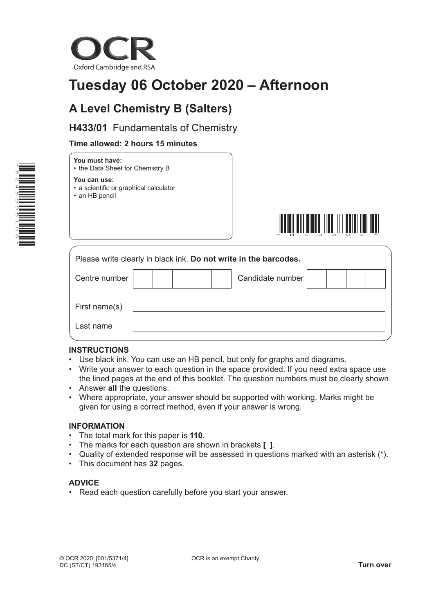

# **Tuesday 06 October 2020 – Afternoon**

## **A Level Chemistry B (Salters)**

**H433/01** Fundamentals of Chemistry

## **Time allowed: 2 hours 15 minutes**



## **You must have:**

• the Data Sheet for Chemistry B

**You can use:**

- a scientific or graphical calculator
- an HB pencil



| Please write clearly in black ink. Do not write in the barcodes. |  |  |  |                  |  |  |  |  |
|------------------------------------------------------------------|--|--|--|------------------|--|--|--|--|
| Centre number                                                    |  |  |  | Candidate number |  |  |  |  |
| First name(s)                                                    |  |  |  |                  |  |  |  |  |
| Last name                                                        |  |  |  |                  |  |  |  |  |

## **INSTRUCTIONS**

- Use black ink. You can use an HB pencil, but only for graphs and diagrams.
- Write your answer to each question in the space provided. If you need extra space use the lined pages at the end of this booklet. The question numbers must be clearly shown.
- Answer **all** the questions.
- Where appropriate, your answer should be supported with working. Marks might be given for using a correct method, even if your answer is wrong.

## **INFORMATION**

- The total mark for this paper is **110**.
- The marks for each question are shown in brackets **[ ]**.
- Quality of extended response will be assessed in questions marked with an asterisk (\*).
- This document has **32** pages.

## **ADVICE**

• Read each question carefully before you start your answer.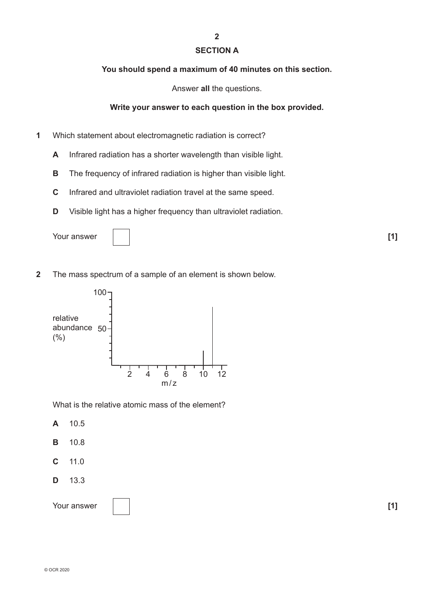## **SECTION A**

**2**

### **You should spend a maximum of 40 minutes on this section.**

Answer **all** the questions.

## **Write your answer to each question in the box provided.**

- **1** Which statement about electromagnetic radiation is correct?
	- **A** Infrared radiation has a shorter wavelength than visible light.
	- **B** The frequency of infrared radiation is higher than visible light.
	- **C** Infrared and ultraviolet radiation travel at the same speed.
	- **D** Visible light has a higher frequency than ultraviolet radiation.

Your answer **[1] [1] [1]** 



**2** The mass spectrum of a sample of an element is shown below.



What is the relative atomic mass of the element?

**A** 10.5

- **B** 10.8
- **C** 11.0
- **D** 13.3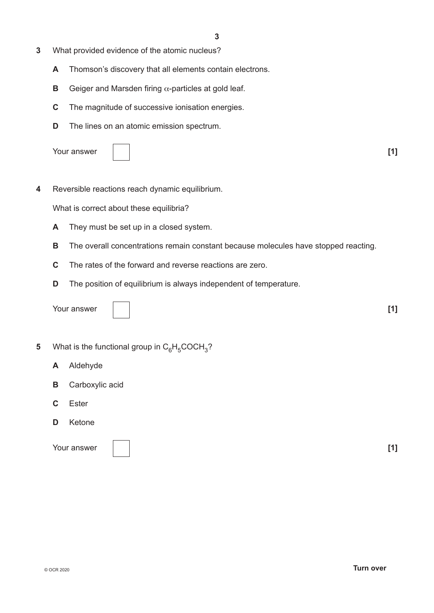- **3** What provided evidence of the atomic nucleus?
	- **A** Thomson's discovery that all elements contain electrons.
	- **B** Geiger and Marsden firing α-particles at gold leaf.
	- **C** The magnitude of successive ionisation energies.
	- **D** The lines on an atomic emission spectrum.



**4** Reversible reactions reach dynamic equilibrium.

What is correct about these equilibria?

- **A** They must be set up in a closed system.
- **B** The overall concentrations remain constant because molecules have stopped reacting.
- **C** The rates of the forward and reverse reactions are zero.
- **D** The position of equilibrium is always independent of temperature.

Your answer **[1]**

- **5** What is the functional group in  $C_6H_5COCH_3$ ?
	- **A** Aldehyde
	- **B** Carboxylic acid
	- **C** Ester
	- **D** Ketone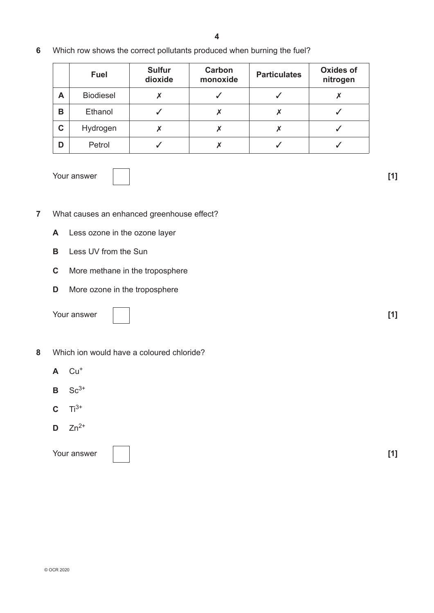**6** Which row shows the correct pollutants produced when burning the fuel?

|   | Fuel             | <b>Sulfur</b><br>dioxide | Carbon<br>monoxide | <b>Particulates</b> | <b>Oxides of</b><br>nitrogen |
|---|------------------|--------------------------|--------------------|---------------------|------------------------------|
| A | <b>Biodiesel</b> |                          |                    |                     |                              |
| В | Ethanol          |                          |                    |                     |                              |
| C | Hydrogen         |                          |                    |                     |                              |
| D | Petrol           |                          |                    |                     |                              |

Your answer **[1] [1] [1]** 

- **7** What causes an enhanced greenhouse effect?
	- **A** Less ozone in the ozone layer
	- **B** Less UV from the Sun
	- **C** More methane in the troposphere
	- **D** More ozone in the troposphere

Your answer **[1] [1]** 

| $\overline{\phantom{a}}$ |  |  |  |
|--------------------------|--|--|--|
|                          |  |  |  |
|                          |  |  |  |
|                          |  |  |  |
|                          |  |  |  |
|                          |  |  |  |
|                          |  |  |  |
|                          |  |  |  |
|                          |  |  |  |
|                          |  |  |  |

- **8** Which ion would have a coloured chloride?
	- $A$  Cu<sup>+</sup>
	- $B$  Sc<sup>3+</sup>
	- $C = Ti^{3+}$
	- $D$  Zn<sup>2+</sup>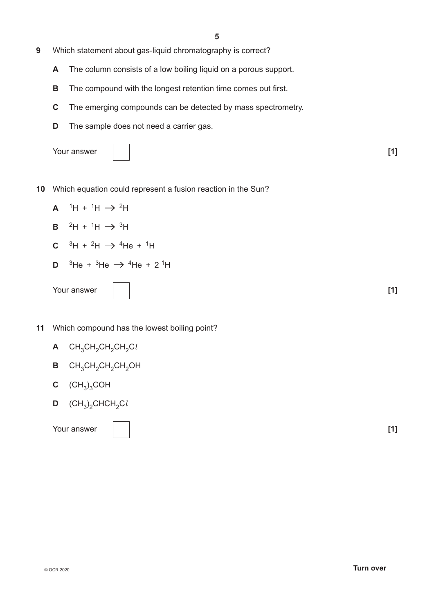**5**

- **9** Which statement about gas-liquid chromatography is correct?
	- **A** The column consists of a low boiling liquid on a porous support.
	- **B** The compound with the longest retention time comes out first.
	- **C** The emerging compounds can be detected by mass spectrometry.
	- **D** The sample does not need a carrier gas.

|  | Your answer |
|--|-------------|
|--|-------------|

| Your answer |  | - - - |
|-------------|--|-------|
|-------------|--|-------|

- **10** Which equation could represent a fusion reaction in the Sun?
	- $A$ <sup>1</sup>H + <sup>1</sup>H  $\rightarrow$  <sup>2</sup>H
	- **B**  ${}^{2}H + {}^{1}H \rightarrow {}^{3}H$
	- **C**  ${}^{3}H + {}^{2}H \rightarrow {}^{4}He + {}^{1}H$
	- **D** <sup>3</sup>He + <sup>3</sup>He  $\rightarrow$  <sup>4</sup>He + 2<sup>1</sup>H



- **11** Which compound has the lowest boiling point?
	- **A** CH<sub>3</sub>CH<sub>2</sub>CH<sub>2</sub>CH<sub>2</sub>Cl
	- **B** CH<sub>3</sub>CH<sub>2</sub>CH<sub>2</sub>CH<sub>2</sub>OH
	- $C$   $(CH_3)_3COH$
	- $D$  (CH<sub>3</sub>)<sub>2</sub>CHCH<sub>2</sub>C*l*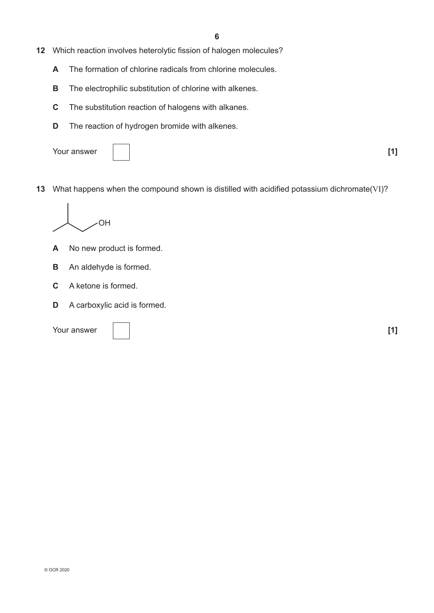- **12** Which reaction involves heterolytic fission of halogen molecules?
	- **A** The formation of chlorine radicals from chlorine molecules.
	- **B** The electrophilic substitution of chlorine with alkenes.
	- **C** The substitution reaction of halogens with alkanes.
	- **D** The reaction of hydrogen bromide with alkenes.
	- Your answer **[1]**

**13** What happens when the compound shown is distilled with acidified potassium dichromate(VI)?



- **A** No new product is formed.
- **B** An aldehyde is formed.
- **C** A ketone is formed.
- **D** A carboxylic acid is formed.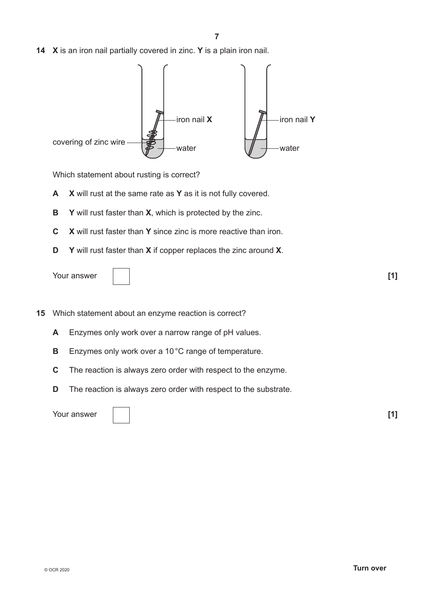**14 X** is an iron nail partially covered in zinc. **Y** is a plain iron nail.



Which statement about rusting is correct?

- **A X** will rust at the same rate as **Y** as it is not fully covered.
- **B Y** will rust faster than **X**, which is protected by the zinc.
- **C X** will rust faster than **Y** since zinc is more reactive than iron.
- **D Y** will rust faster than **X** if copper replaces the zinc around **X**.

| Your answer |  | . |
|-------------|--|---|
|-------------|--|---|



**15** Which statement about an enzyme reaction is correct?

- **A** Enzymes only work over a narrow range of pH values.
- **B** Enzymes only work over a 10°C range of temperature.
- **C** The reaction is always zero order with respect to the enzyme.
- **D** The reaction is always zero order with respect to the substrate.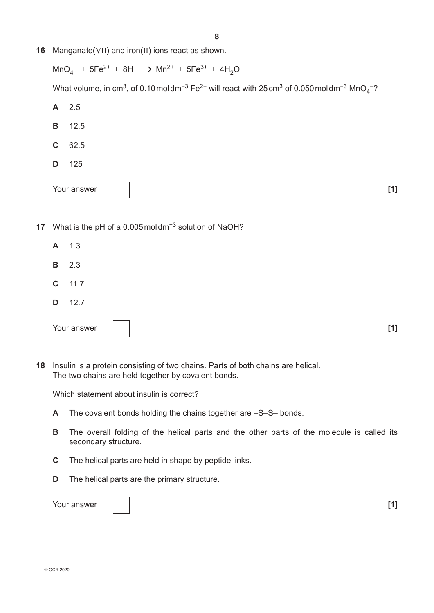**16** Manganate(VII) and iron(II) ions react as shown.

 $\text{MnO}_4^-$  + 5Fe<sup>2+</sup> + 8H<sup>+</sup>  $\rightarrow$  Mn<sup>2+</sup> + 5Fe<sup>3+</sup> + 4H<sub>2</sub>O What volume, in cm<sup>3</sup>, of 0.10 mol dm<sup>−3</sup> Fe<sup>2+</sup> will react with 25 cm<sup>3</sup> of 0.050 mol dm<sup>−3</sup> MnO<sub>4</sub><sup>−?</sup>

- **A** 2.5 **B** 12.5 **C** 62.5 **D** 125 Your answer **[1]**
- **17** What is the pH of a 0.005moldm−3 solution of NaOH?
	- **A** 1.3 **B** 2.3 **C** 11.7 **D** 12.7
- **18** Insulin is a protein consisting of two chains. Parts of both chains are helical. The two chains are held together by covalent bonds.

Which statement about insulin is correct?

- **A** The covalent bonds holding the chains together are –S–S– bonds.
- **B** The overall folding of the helical parts and the other parts of the molecule is called its secondary structure.

Your answer **[1]**

- **C** The helical parts are held in shape by peptide links.
- **D** The helical parts are the primary structure.

| Your answer |  | . |
|-------------|--|---|
|             |  |   |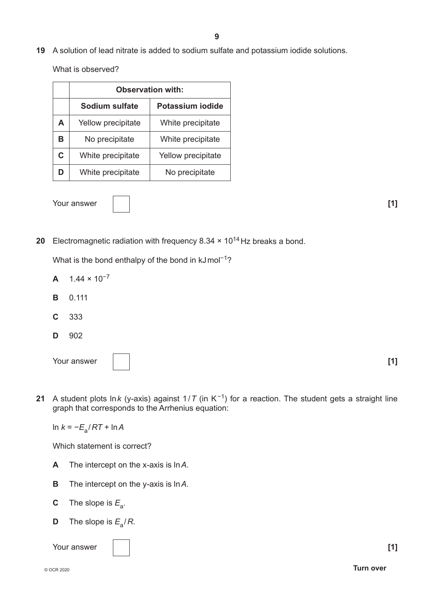**19** A solution of lead nitrate is added to sodium sulfate and potassium iodide solutions.

What is observed?

|    | <b>Observation with:</b>                  |                    |  |  |  |  |  |
|----|-------------------------------------------|--------------------|--|--|--|--|--|
|    | Potassium iodide<br><b>Sodium sulfate</b> |                    |  |  |  |  |  |
| A  | Yellow precipitate                        | White precipitate  |  |  |  |  |  |
| в  | No precipitate                            | White precipitate  |  |  |  |  |  |
| C. | White precipitate                         | Yellow precipitate |  |  |  |  |  |
|    | White precipitate                         | No precipitate     |  |  |  |  |  |

Your answer **[1] [1]** 

**20** Electromagnetic radiation with frequency 8.34  $\times$  10<sup>14</sup> Hz breaks a bond.

What is the bond enthalpy of the bond in kJmol<sup>-1</sup>?

- $A = 1.44 \times 10^{-7}$
- **B** 0.111
- **C** 333
- **D** 902

| Your answer |  | - - - |
|-------------|--|-------|
|-------------|--|-------|

**21** A student plots ln*k* (y-axis) against 1/*T* (in K−1) for a reaction. The student gets a straight line graph that corresponds to the Arrhenius equation:

ln *k* = −*E*a/*RT* + ln*A*

Which statement is correct?

- **A** The intercept on the x-axis is ln*A*.
- **B** The intercept on the y-axis is ln*A*.
- **C** The slope is  $E_a$ .
- **D** The slope is  $E_a/R$ .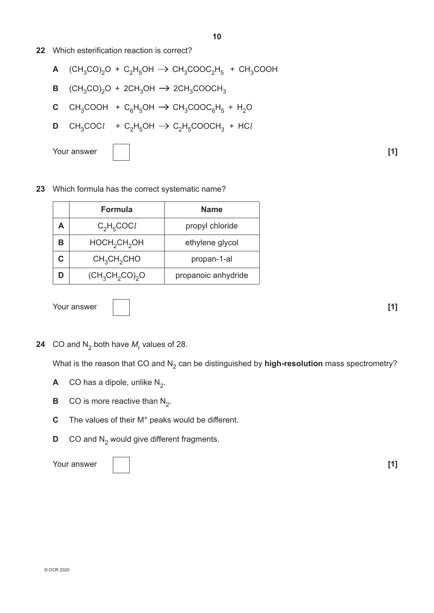**22** Which esterification reaction is correct?

$$
\mathbf{A} \quad (\text{CH}_3\text{CO})_2\text{O} + \text{C}_2\text{H}_5\text{OH} \rightarrow \text{CH}_3\text{COOC}_2\text{H}_5 + \text{CH}_3\text{COOH}
$$

- **B**  $(CH_3CO)_2O + 2CH_3OH \rightarrow 2CH_3COOCH_3$
- **C** CH<sub>3</sub>COOH + C<sub>6</sub>H<sub>5</sub>OH  $\rightarrow$  CH<sub>3</sub>COOC<sub>6</sub>H<sub>5</sub> + H<sub>2</sub>O
- **D** CH<sub>3</sub>COC*l* + C<sub>2</sub>H<sub>5</sub>OH  $\rightarrow$  C<sub>2</sub>H<sub>5</sub>COOCH<sub>3</sub> + HC*l*

Your answer **[1] [1]** 



## **23** Which formula has the correct systematic name?

|   | Formula                              | <b>Name</b>         |
|---|--------------------------------------|---------------------|
| А | $C_2H_5COCl$                         | propyl chloride     |
| В | HOCH <sub>2</sub> CH <sub>2</sub> OH | ethylene glycol     |
| C | CH <sub>3</sub> CH <sub>2</sub> CHO  | propan-1-al         |
|   | $(CH_3CH_2CO)_2O$                    | propanoic anhydride |

Your answer **[1] [1]** 

**24**  $\,$  CO and N $_{2}$  both have  $M_{\rm r}$  values of 28.

What is the reason that CO and N<sub>2</sub> can be distinguished by **high-resolution** mass spectrometry?

- **A** CO has a dipole, unlike  $N_2$ .
- **B** CO is more reactive than  $N_2$ .
- **C** The values of their M<sup>+</sup> peaks would be different.
- **D** CO and N<sub>2</sub> would give different fragments.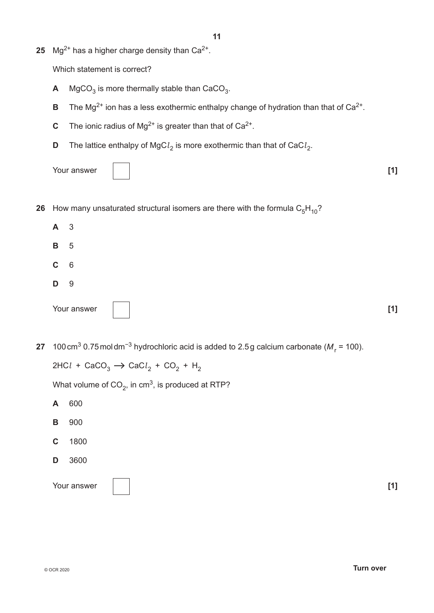**25** Mg<sup>2+</sup> has a higher charge density than  $Ca^{2+}$ .

Which statement is correct?

- **A** MgCO<sub>3</sub> is more thermally stable than  $CaCO<sub>3</sub>$ .
- **B** The Mg<sup>2+</sup> ion has a less exothermic enthalpy change of hydration than that of  $Ca^{2+}$ .
- **C** The ionic radius of Mg<sup>2+</sup> is greater than that of  $Ca^{2+}$ .
- **D** The lattice enthalpy of MgC $l_2$  is more exothermic than that of CaC $l_2$ .

Your answer **[1] [1]** 



- **A** 3 **B** 5 **C** 6 **D** 9 Your answer **[1] [1]**
- **27** 100 cm<sup>3</sup> 0.75 mol dm<sup>−3</sup> hydrochloric acid is added to 2.5 g calcium carbonate (M<sub>r</sub> = 100).

 $2HCl + CaCO<sub>3</sub> \rightarrow CaCl<sub>2</sub> + CO<sub>2</sub> + H<sub>2</sub>$ 

What volume of  $CO<sub>2</sub>$ , in cm<sup>3</sup>, is produced at RTP?

- **A** 600
- **B** 900
- **C** 1800
- **D** 3600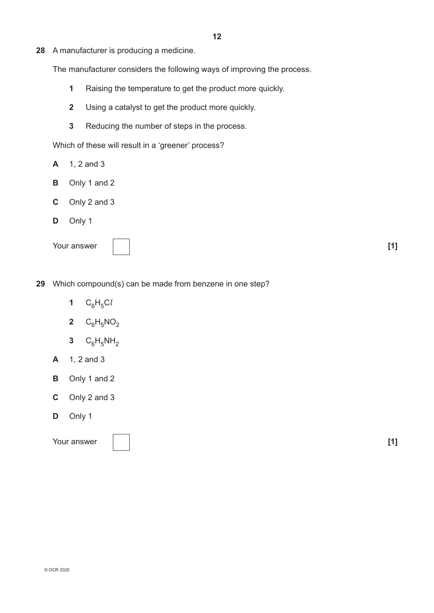**28** A manufacturer is producing a medicine.

The manufacturer considers the following ways of improving the process.

- **1** Raising the temperature to get the product more quickly.
- **2** Using a catalyst to get the product more quickly.
- **3** Reducing the number of steps in the process.

Which of these will result in a 'greener' process?

- **A** 1, 2 and 3
- **B** Only 1 and 2
- **C** Only 2 and 3
- **D** Only 1

Your answer **[1] [1]** 

- **29** Which compound(s) can be made from benzene in one step?
	- 1  $C_6H_5Cl$
	- **2**  $C_6H_5NO_2$
	- **3**  $C_6H_5NH_2$
	- **A** 1, 2 and 3
	- **B** Only 1 and 2
	- **C** Only 2 and 3
	- **D** Only 1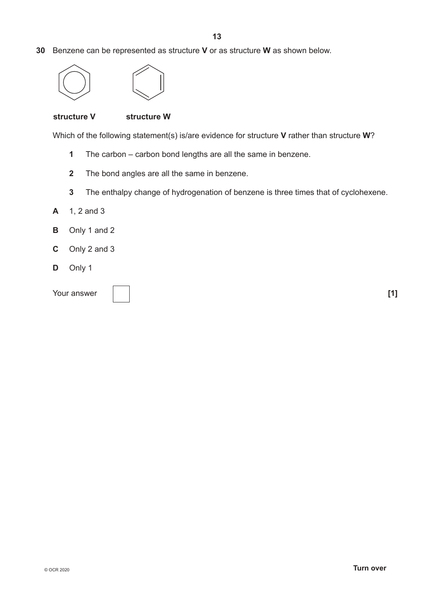**30** Benzene can be represented as structure **V** or as structure **W** as shown below.



## **structure V structure W**

Which of the following statement(s) is/are evidence for structure **V** rather than structure **W**?

- **1** The carbon carbon bond lengths are all the same in benzene.
- **2** The bond angles are all the same in benzene.
- **3** The enthalpy change of hydrogenation of benzene is three times that of cyclohexene.
- **A** 1, 2 and 3
- **B** Only 1 and 2
- **C** Only 2 and 3
- **D** Only 1

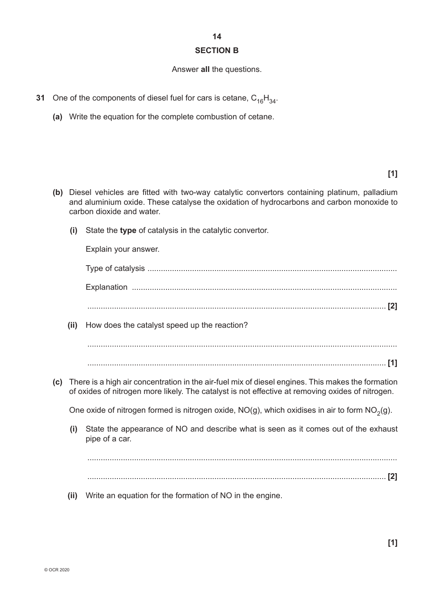## **14 SECTION B**

#### Answer **all** the questions.

- **31** One of the components of diesel fuel for cars is cetane,  $C_{16}H_{34}$ .
	- **(a)** Write the equation for the complete combustion of cetane.

- **(b)** Diesel vehicles are fitted with two-way catalytic convertors containing platinum, palladium and aluminium oxide. These catalyse the oxidation of hydrocarbons and carbon monoxide to carbon dioxide and water.
	- **(i)** State the **type** of catalysis in the catalytic convertor.

Explain your answer.

Type of catalysis ................................................................................................................ Explanation .......................................................................................................................

...................................................................................................................................... **[2]**

 **(ii)** How does the catalyst speed up the reaction?

........................................................................................................................................... ...................................................................................................................................... **[1]**

**(c)** There is a high air concentration in the air-fuel mix of diesel engines. This makes the formation of oxides of nitrogen more likely. The catalyst is not effective at removing oxides of nitrogen.

One oxide of nitrogen formed is nitrogen oxide,  $NO(g)$ , which oxidises in air to form  $NO<sub>2</sub>(g)$ .

 **(i)** State the appearance of NO and describe what is seen as it comes out of the exhaust pipe of a car.

........................................................................................................................................... ...................................................................................................................................... **[2]**

 **(ii)** Write an equation for the formation of NO in the engine.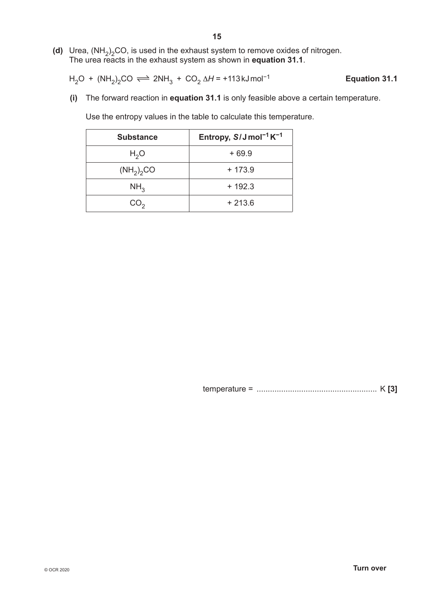**(d)** Urea,  $(NH_2)_2$ CO, is used in the exhaust system to remove oxides of nitrogen. The urea reacts in the exhaust system as shown in **equation 31.1**.

$$
H_2O + (NH_2)_2CO \rightleftharpoons 2NH_3 + CO_2 \Delta H = +113 \text{ kJ} \text{mol}^{-1}
$$
 \tEquation 31.1

 **(i)** The forward reaction in **equation 31.1** is only feasible above a certain temperature.

Use the entropy values in the table to calculate this temperature.

| <b>Substance</b> | Entropy, $S/J$ mol <sup>-1</sup> K <sup>-1</sup> |
|------------------|--------------------------------------------------|
| H <sub>2</sub> O | $+69.9$                                          |
| $(NH_2)_2CO$     | $+173.9$                                         |
| NH <sub>3</sub>  | $+192.3$                                         |
| CO <sub>2</sub>  | $+213.6$                                         |

temperature = ...................................................... K **[3]**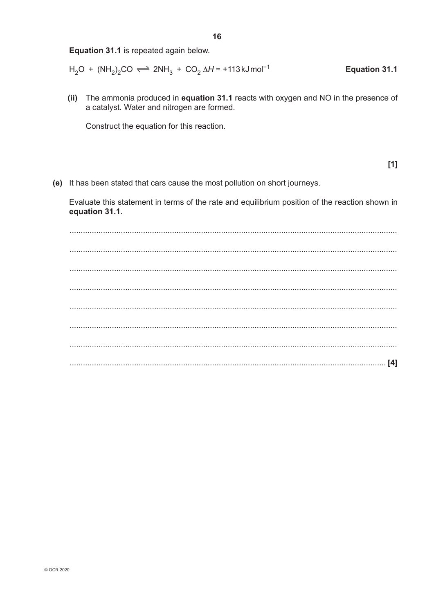Equation 31.1 is repeated again below.

$$
H_2O + (NH_2)_2CO \rightleftharpoons 2NH_3 + CO_2 \Delta H = +113 \text{ kJ} \text{mol}^{-1}
$$
 \tEquation 31.1

(ii) The ammonia produced in equation 31.1 reacts with oxygen and NO in the presence of a catalyst. Water and nitrogen are formed.

Construct the equation for this reaction.

 $[1]$ 

(e) It has been stated that cars cause the most pollution on short journeys.

Evaluate this statement in terms of the rate and equilibrium position of the reaction shown in equation 31.1.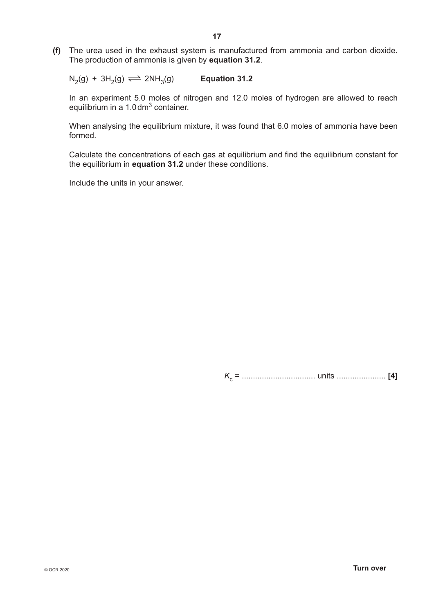**(f)** The urea used in the exhaust system is manufactured from ammonia and carbon dioxide. The production of ammonia is given by **equation 31.2**.

 $N_2(g) + 3H_2(g) \rightleftharpoons 2NH_3(g)$  **Equation 31.2** 

In an experiment 5.0 moles of nitrogen and 12.0 moles of hydrogen are allowed to reach equilibrium in a 1.0 dm<sup>3</sup> container.

When analysing the equilibrium mixture, it was found that 6.0 moles of ammonia have been formed.

Calculate the concentrations of each gas at equilibrium and find the equilibrium constant for the equilibrium in **equation 31.2** under these conditions.

Include the units in your answer.

*K*c = ................................. units ...................... **[4]**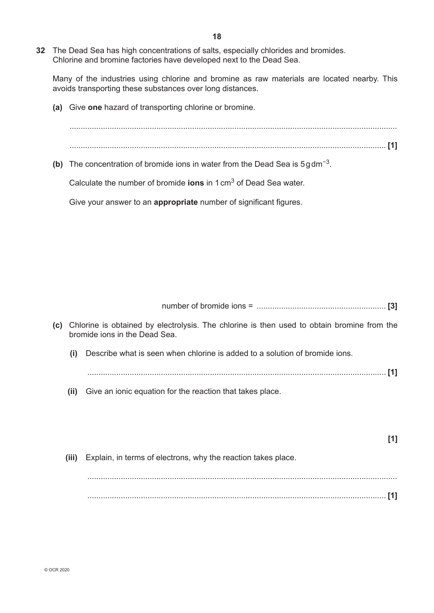Many of the industries using chlorine and bromine as raw materials are located nearby. This avoids transporting these substances over long distances.

**(a)** Give **one** hazard of transporting chlorine or bromine.

................................................................................................................................................... .............................................................................................................................................. **[1]**

**(b)** The concentration of bromide ions in water from the Dead Sea is 5gdm−3.

Calculate the number of bromide **ions** in 1cm3 of Dead Sea water.

Give your answer to an **appropriate** number of significant figures.

number of bromide ions = .......................................................... **[3]**

- **(c)** Chlorine is obtained by electrolysis. The chlorine is then used to obtain bromine from the bromide ions in the Dead Sea.  **(i)** Describe what is seen when chlorine is added to a solution of bromide ions.
	- ...................................................................................................................................... **[1]**
	- **(ii)** Give an ionic equation for the reaction that takes place.

**[1] (iii)** Explain, in terms of electrons, why the reaction takes place. ........................................................................................................................................... ...................................................................................................................................... **[1]**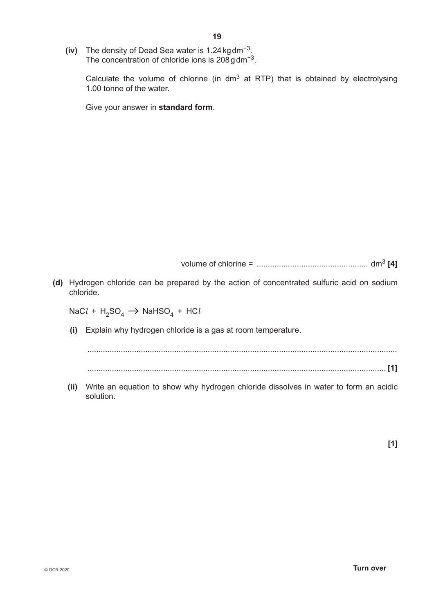**(iv)** The density of Dead Sea water is 1.24kgdm−3. The concentration of chloride ions is 208gdm−3.

> Calculate the volume of chlorine (in dm3 at RTP) that is obtained by electrolysing 1.00 tonne of the water.

Give your answer in **standard form**.

volume of chlorine = .................................................. dm3 **[4]**

**(d)** Hydrogen chloride can be prepared by the action of concentrated sulfuric acid on sodium chloride.

 $NaCl + H_2SO_4 \rightarrow NaHSO_4 + HCl$ 

 **(i)** Explain why hydrogen chloride is a gas at room temperature.

........................................................................................................................................... ...................................................................................................................................... **[1]**

 **(ii)** Write an equation to show why hydrogen chloride dissolves in water to form an acidic solution.

**[1]**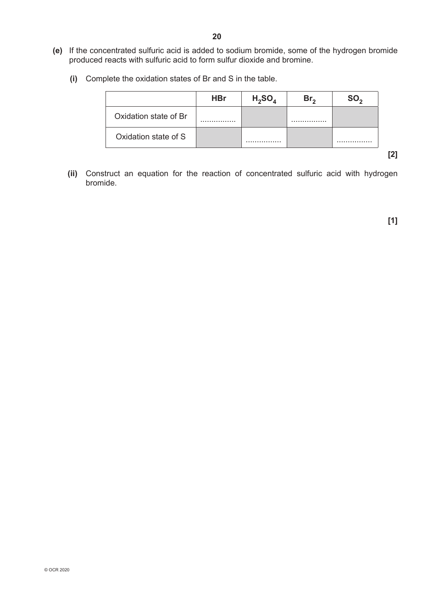- **(e)** If the concentrated sulfuric acid is added to sodium bromide, some of the hydrogen bromide produced reacts with sulfuric acid to form sulfur dioxide and bromine.
	- **(i)** Complete the oxidation states of Br and S in the table.

|                       | <b>HBr</b> | $H_2SO_A$ | Br. | SO. |
|-----------------------|------------|-----------|-----|-----|
| Oxidation state of Br |            |           |     |     |
| Oxidation state of S  |            |           |     |     |

**[2]**

 **(ii)** Construct an equation for the reaction of concentrated sulfuric acid with hydrogen bromide.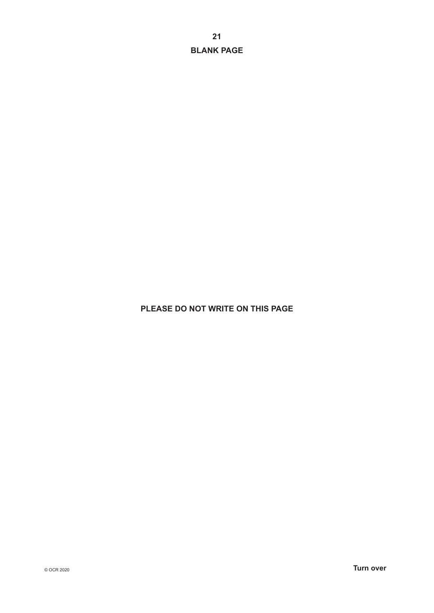**21 BLANK PAGE**

## **PLEASE DO NOT WRITE ON THIS PAGE**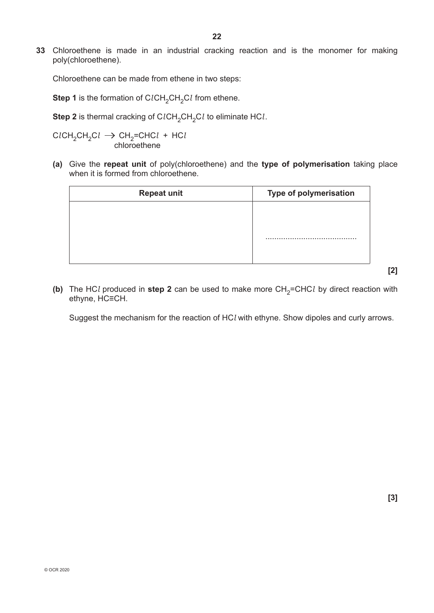**33** Chloroethene is made in an industrial cracking reaction and is the monomer for making poly(chloroethene).

Chloroethene can be made from ethene in two steps:

**Step 1** is the formation of C*lCH<sub>2</sub>CH<sub>2</sub>Cl* from ethene.

**Step 2** is thermal cracking of C*lCH*<sub>2</sub>CH<sub>2</sub>Cl to eliminate HCl.

C*l*CH2CH2C*l* CH2=CHC*l* + HC*l* chloroethene

**(a)** Give the **repeat unit** of poly(chloroethene) and the **type of polymerisation** taking place when it is formed from chloroethene.

**(b)** The HCl produced in step 2 can be used to make more  $CH_2=CHCl$  by direct reaction with ethyne, HC≡CH.

Suggest the mechanism for the reaction of HC*l* with ethyne. Show dipoles and curly arrows.

**[2]**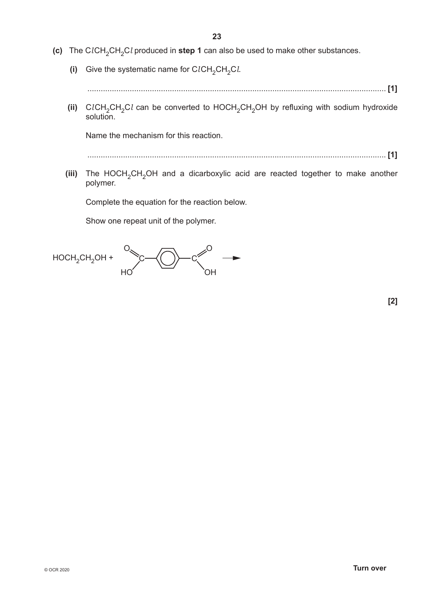- **(c)** The CICH<sub>2</sub>CH<sub>2</sub>Cl produced in step 1 can also be used to make other substances.
	- **(i)** Give the systematic name for  $CICH_2CH_2Cl$ .
		- ...................................................................................................................................... **[1]**
	- (ii) ClCH<sub>2</sub>CH<sub>2</sub>Cl can be converted to HOCH<sub>2</sub>CH<sub>2</sub>OH by refluxing with sodium hydroxide solution.

Name the mechanism for this reaction.

...................................................................................................................................... **[1]**

**(iii)** The HOCH<sub>2</sub>CH<sub>2</sub>OH and a dicarboxylic acid are reacted together to make another polymer.

Complete the equation for the reaction below.

Show one repeat unit of the polymer.

O  $HC$  $-c \n\searrow 0$ OH  $HOCH_2CH_2OH + \searrow C \longrightarrow (C \longrightarrow C$ 

**[2]**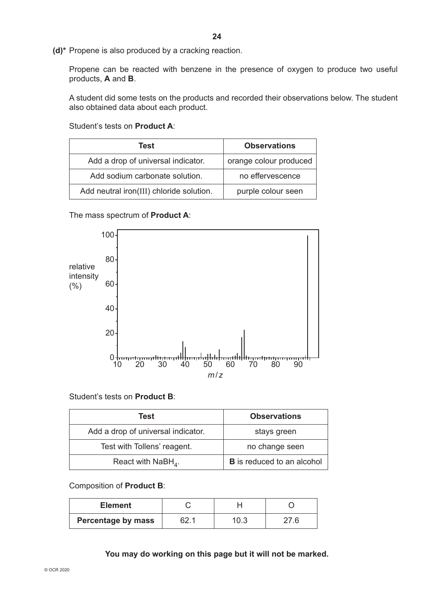**(d)\*** Propene is also produced by a cracking reaction.

Propene can be reacted with benzene in the presence of oxygen to produce two useful products, **A** and **B**.

A student did some tests on the products and recorded their observations below. The student also obtained data about each product.

Student's tests on **Product A**:

| Test                                     | <b>Observations</b>    |
|------------------------------------------|------------------------|
| Add a drop of universal indicator.       | orange colour produced |
| Add sodium carbonate solution.           | no effervescence       |
| Add neutral iron(III) chloride solution. | purple colour seen     |

The mass spectrum of **Product A**:



## Student's tests on **Product B**:

| Test                                        | <b>Observations</b>               |
|---------------------------------------------|-----------------------------------|
| Add a drop of universal indicator.          | stays green                       |
| Test with Tollens' reagent.                 | no change seen                    |
| React with NaBH <sub><math>4</math></sub> . | <b>B</b> is reduced to an alcohol |

## Composition of **Product B**:

| <b>Element</b>            |     |  |
|---------------------------|-----|--|
| <b>Percentage by mass</b> | 0.3 |  |

**You may do working on this page but it will not be marked.**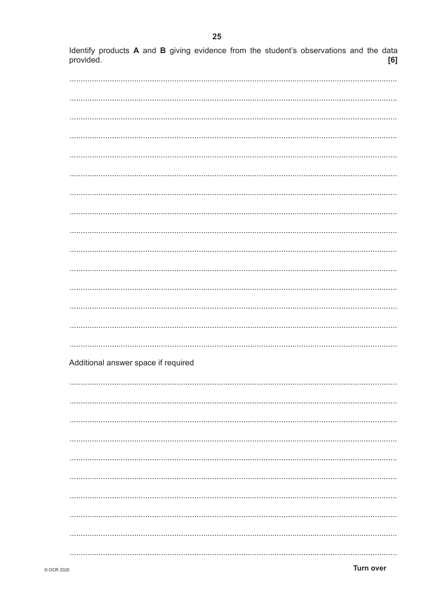Identify products A and B giving evidence from the student's observations and the data provided.  $[6]$ 

| Additional answer space if required |
|-------------------------------------|
|                                     |
|                                     |
|                                     |
|                                     |
|                                     |
|                                     |
|                                     |
|                                     |
|                                     |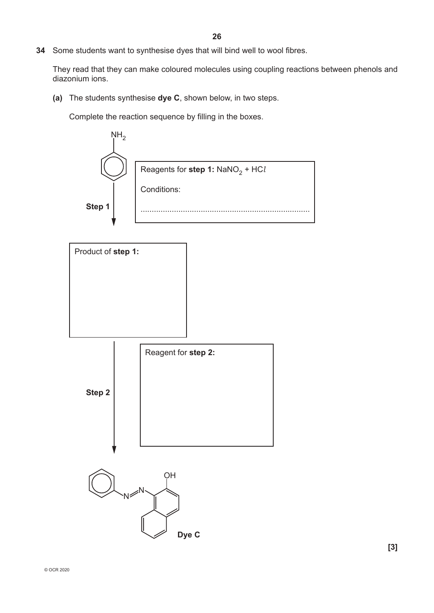**34** Some students want to synthesise dyes that will bind well to wool fibres.

They read that they can make coloured molecules using coupling reactions between phenols and diazonium ions.

**(a)** The students synthesise **dye C**, shown below, in two steps.

Complete the reaction sequence by filling in the boxes.

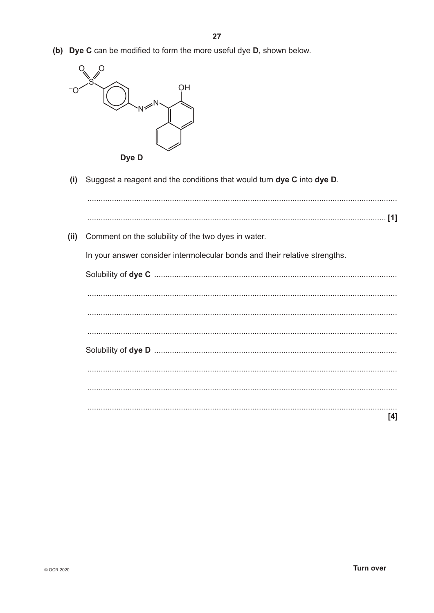(b) Dye C can be modified to form the more useful dye D, shown below.



Suggest a reagent and the conditions that would turn dye C into dye D.  $(i)$ 

(ii) Comment on the solubility of the two dyes in water. In your answer consider intermolecular bonds and their relative strengths.  $[4]$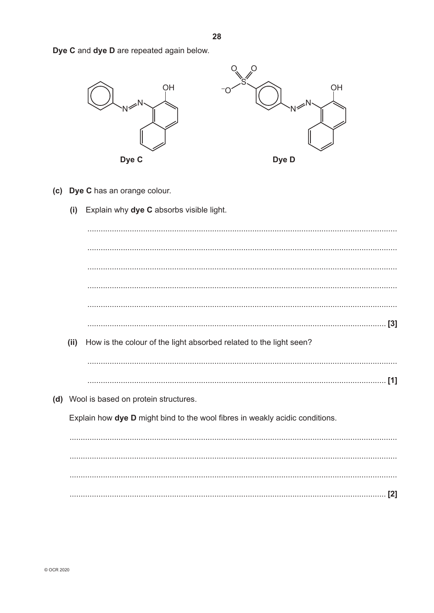Dye C and dye D are repeated again below.



- (c) Dye C has an orange colour.
	- Explain why dye C absorbs visible light.  $(i)$

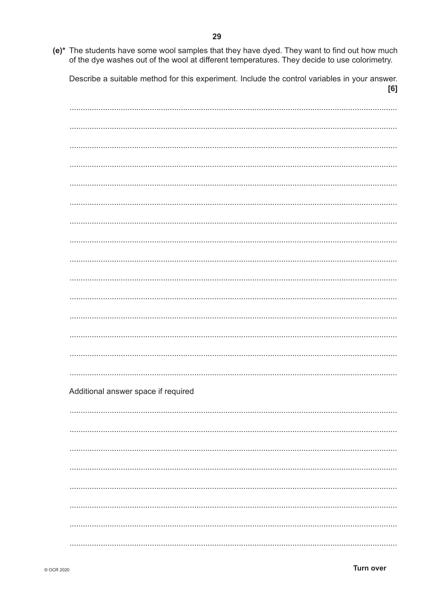(e)\* The students have some wool samples that they have dyed. They want to find out how much of the dye washes out of the wool at different temperatures. They decide to use colorimetry.

Describe a suitable method for this experiment. Include the control variables in your answer.  $[6]$ 

 $\frac{1}{2}$  . The contract of the contract of the contract of the contract of the contract of the contract of the contract of the contract of the contract of the contract of the contract of the contract of the contract of t Additional answer space if required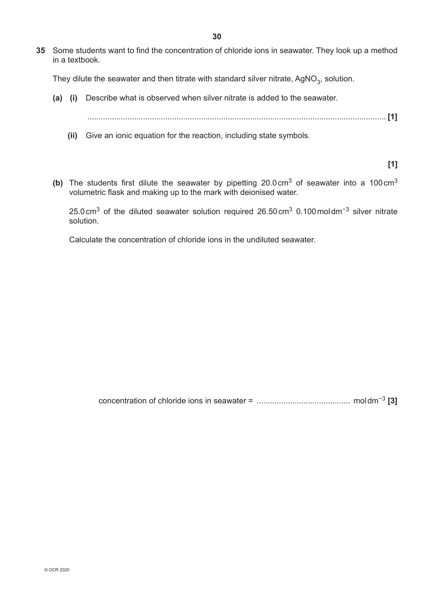**35** Some students want to find the concentration of chloride ions in seawater. They look up a method in a textbook.

They dilute the seawater and then titrate with standard silver nitrate,  $AgNO<sub>3</sub>$ , solution.

- **(a) (i)** Describe what is observed when silver nitrate is added to the seawater.
	- ...................................................................................................................................... **[1]**
	- **(ii)** Give an ionic equation for the reaction, including state symbols.

**[1]**

**(b)** The students first dilute the seawater by pipetting 20.0cm3 of seawater into a 100cm3 volumetric flask and making up to the mark with deionised water.

25.0cm3 of the diluted seawater solution required 26.50cm3 0.100moldm−3 silver nitrate solution.

Calculate the concentration of chloride ions in the undiluted seawater.

concentration of chloride ions in seawater = .......................................... moldm−3 **[3]**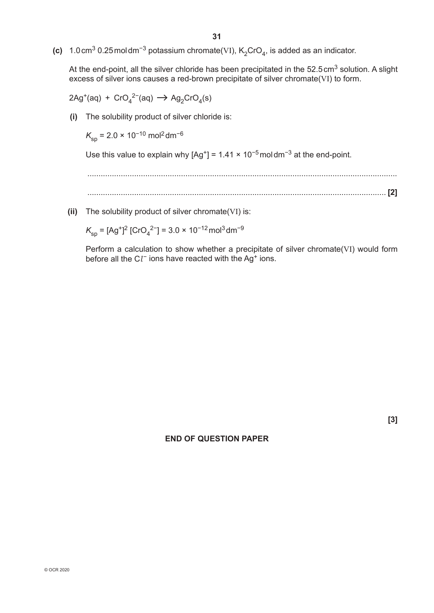(c)  $1.0 \text{ cm}^3$  0.25 moldm<sup>-3</sup> potassium chromate(VI),  $K_2$ CrO<sub>4</sub>, is added as an indicator.

At the end-point, all the silver chloride has been precipitated in the 52.5 cm<sup>3</sup> solution. A slight excess of silver ions causes a red-brown precipitate of silver chromate(VI) to form.

 $2Ag^+(aq) + CrO_4^{2-}(aq) \rightarrow Ag_2CrO_4(s)$ 

 **(i)** The solubility product of silver chloride is:

 $K_{\rm sp}$  = 2.0 × 10<sup>-10</sup> mol<sup>2</sup> dm<sup>-6</sup>

Use this value to explain why  $[Ag^+] = 1.41 \times 10^{-5}$  moldm<sup>-3</sup> at the end-point.

........................................................................................................................................... ...................................................................................................................................... **[2]**

 **(ii)** The solubility product of silver chromate(VI) is:

 $K_{\rm sp}^{}$  = [Ag<sup>+</sup>] $^2$  [CrO $_4^{2}$ −] = 3.0 × 10<sup>−12</sup> mol<sup>3</sup> dm<sup>−9</sup>

Perform a calculation to show whether a precipitate of silver chromate(VI) would form before all the Cl<sup>-</sup> ions have reacted with the Ag<sup>+</sup> ions.

#### **END OF QUESTION PAPER**